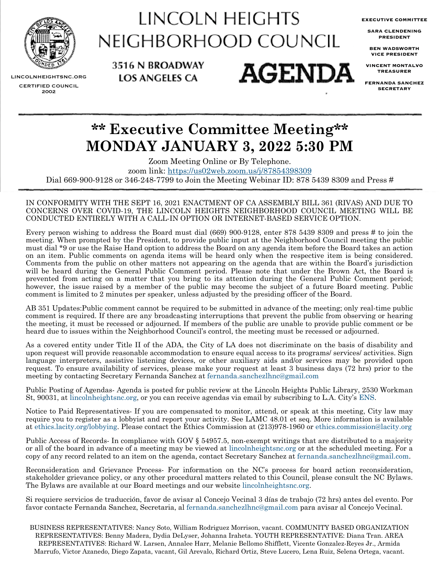

LINCOLN HEIGHTS NEIGHBORHOOD COUNCIL

3516 N BROADWAY

**LOS ANGELES CA** 

**EXECUTIVE COMMITTEE**

**SARA CLENDENING PRESIDENT**

**BEN WADSWORTH VICE PRESIDENT**

**VINCENT MONTALVO TREASURER**

**FERNANDA SANCHEZ SECRETARY**

LINCOLNHEIGHTSNC.ORG CERTIFIED COUNCIL 2002

### **\*\* Executive Committee Meeting\*\* MONDAY JANUARY 3, 2022 5:30 PM**

**AGENDA** 

Zoom Meeting Online or By Telephone.

zoom link: https://us02web.zoom.us/j/87854398309

Dial 669-900-9128 or 346-248-7799 to Join the Meeting Webinar ID: 878 5439 8309 and Press #

#### IN CONFORMITY WITH THE SEPT 16, 2021 ENACTMENT OF CA ASSEMBLY BILL 361 (RIVAS) AND DUE TO CONCERNS OVER COVID-19, THE LINCOLN HEIGHTS NEIGHBORHOOD COUNCIL MEETING WILL BE CONDUCTED ENTIRELY WITH A CALL-IN OPTION OR INTERNET-BASED SERVICE OPTION.

Every person wishing to address the Board must dial (669) 900-9128, enter 878 5439 8309 and press # to join the meeting. When prompted by the President, to provide public input at the Neighborhood Council meeting the public must dial \*9 or use the Raise Hand option to address the Board on any agenda item before the Board takes an action on an item. Public comments on agenda items will be heard only when the respective item is being considered. Comments from the public on other matters not appearing on the agenda that are within the Board's jurisdiction will be heard during the General Public Comment period. Please note that under the Brown Act, the Board is prevented from acting on a matter that you bring to its attention during the General Public Comment period; however, the issue raised by a member of the public may become the subject of a future Board meeting. Public comment is limited to 2 minutes per speaker, unless adjusted by the presiding officer of the Board.

AB 351 Updates:Public comment cannot be required to be submitted in advance of the meeting; only real-time public comment is required. If there are any broadcasting interruptions that prevent the public from observing or hearing the meeting, it must be recessed or adjourned. If members of the public are unable to provide public comment or be heard due to issues within the Neighborhood Council's control, the meeting must be recessed or adjourned.

As a covered entity under Title II of the ADA, the City of LA does not discriminate on the basis of disability and upon request will provide reasonable accommodation to ensure equal access to its programs/ services/ activities. Sign language interpreters, assistive listening devices, or other auxiliary aids and/or services may be provided upon request. To ensure availability of services, please make your request at least 3 business days (72 hrs) prior to the meeting by contacting Secretary Fernanda Sanchez at [fernanda.sanchezlhnc@gmail.com](mailto:fernanda.Sanchezlhnc@gmail.com)

Public Posting of Agendas- Agenda is posted for public review at the Lincoln Heights Public Library, 2530 Workman St, 90031, at [lincolnheightsnc.org,](http://www.lincolnheightsNC.org) or you can receive agendas via email by subscribing to L.A. City's [ENS](https://www.lacity.org/government/subscribe-agendasnotifications/neighborhood-councils).

Notice to Paid Representatives- If you are compensated to monitor, attend, or speak at this meeting, City law may require you to register as a lobbyist and report your activity. See LAMC 48.01 et seq. More information is available at [ethics.lacity.org/lobbying](http://ethics.lacity.org/lobbying). Please contact the Ethics Commission at (213)978-1960 or [ethics.commission@lacity.org](mailto:ethics.commission@lacity.org)

Public Access of Records- In compliance with GOV § 54957.5, non-exempt writings that are distributed to a majority or all of the board in advance of a meeting may be viewed at [lincolnheightsnc.org](http://lincolnheightsnc.org) or at the scheduled meeting. For a copy of any record related to an item on the agenda, contact Secretary Sanchez at [fernanda.sanchezlhnc@gmail.com](mailto:fernanda.sanchezlhnc@gmail.com).

Reconsideration and Grievance Process- For information on the NC's process for board action reconsideration, stakeholder grievance policy, or any other procedural matters related to this Council, please consult the NC Bylaws. The Bylaws are available at our Board meetings and our website [lincolnheightsnc.org.](http://www.lincolnheightsNC.org)

Si requiere servicios de traducción, favor de avisar al Concejo Vecinal 3 días de trabajo (72 hrs) antes del evento. Por favor contacte Fernanda Sanchez, Secretaria, al [fernanda.sanchezlhnc@gmail.com](mailto:fernanda.Sanchezlhnc@gmail.com) para avisar al Concejo Vecinal.

BUSINESS REPRESENTATIVES: Nancy Soto, William Rodriguez Morrison, vacant. COMMUNITY BASED ORGANIZATION REPRESENTATIVES: Benny Madera, Dydia DeLyser, Johanna Iraheta. YOUTH REPRESENTATIVE: Diana Tran. AREA REPRESENTATIVES: Richard W. Larsen, Annalee Harr, Melanie Bellomo Shifflett, Vicente Gonzalez-Reyes Jr., Armida Marrufo, Victor Azanedo, Diego Zapata, vacant, Gil Arevalo, Richard Ortiz, Steve Lucero, Lena Ruiz, Selena Ortega, vacant.